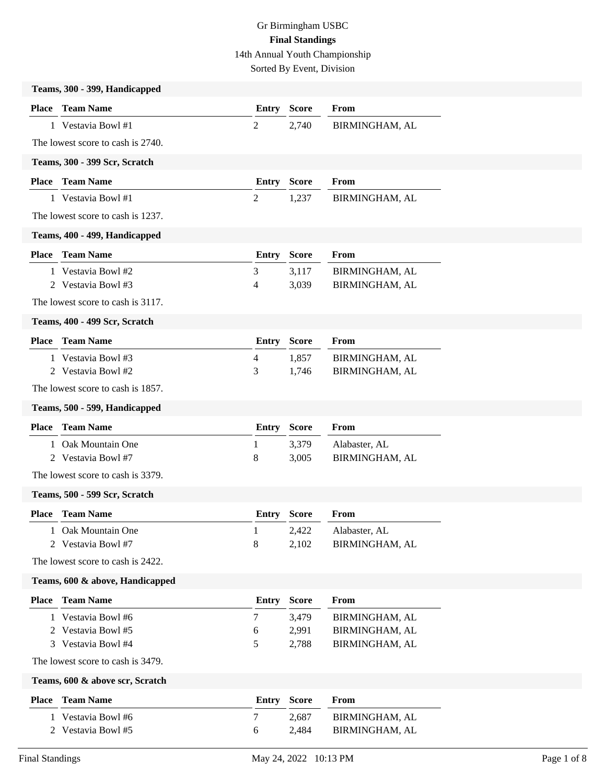Sorted By Event, Division

|                               | Teams, 300 - 399, Handicapped        |                |                |                                  |
|-------------------------------|--------------------------------------|----------------|----------------|----------------------------------|
|                               | <b>Place</b> Team Name               | <b>Entry</b>   | <b>Score</b>   | From                             |
|                               | 1 Vestavia Bowl #1                   | $\overline{2}$ | 2,740          | BIRMINGHAM, AL                   |
|                               | The lowest score to cash is 2740.    |                |                |                                  |
| Teams, 300 - 399 Scr, Scratch |                                      |                |                |                                  |
|                               | <b>Place</b> Team Name               | <b>Entry</b>   | <b>Score</b>   | From                             |
|                               | 1 Vestavia Bowl #1                   | $\overline{2}$ | 1,237          | BIRMINGHAM, AL                   |
|                               | The lowest score to cash is 1237.    |                |                |                                  |
|                               | Teams, 400 - 499, Handicapped        |                |                |                                  |
|                               | <b>Place</b> Team Name               | <b>Entry</b>   | <b>Score</b>   | From                             |
|                               | 1 Vestavia Bowl #2                   | 3              | 3,117          | BIRMINGHAM, AL                   |
|                               | 2 Vestavia Bowl #3                   | 4              | 3,039          | BIRMINGHAM, AL                   |
|                               | The lowest score to cash is 3117.    |                |                |                                  |
|                               | Teams, 400 - 499 Scr, Scratch        |                |                |                                  |
| <b>Place</b>                  | <b>Team Name</b>                     | <b>Entry</b>   | <b>Score</b>   | From                             |
|                               | 1 Vestavia Bowl #3                   | $\overline{4}$ | 1,857          | BIRMINGHAM, AL                   |
|                               | 2 Vestavia Bowl #2                   | 3              | 1,746          | BIRMINGHAM, AL                   |
|                               | The lowest score to cash is 1857.    |                |                |                                  |
|                               | Teams, 500 - 599, Handicapped        |                |                |                                  |
|                               |                                      |                |                |                                  |
| <b>Place</b>                  | <b>Team Name</b>                     | <b>Entry</b>   | <b>Score</b>   | From                             |
| 1                             | Oak Mountain One                     | 1              | 3,379          | Alabaster, AL                    |
|                               | 2 Vestavia Bowl #7                   | 8              | 3,005          | BIRMINGHAM, AL                   |
|                               | The lowest score to cash is 3379.    |                |                |                                  |
|                               | Teams, 500 - 599 Scr, Scratch        |                |                |                                  |
|                               | Place Team Name                      | Entry          | <b>Score</b>   | From                             |
|                               | Oak Mountain One                     | $\mathbf{I}$   | 2,422          | Alabaster, AL                    |
|                               | 2 Vestavia Bowl #7                   | 8              | 2,102          | BIRMINGHAM, AL                   |
|                               | The lowest score to cash is 2422.    |                |                |                                  |
|                               | Teams, 600 & above, Handicapped      |                |                |                                  |
| <b>Place</b>                  | <b>Team Name</b>                     | <b>Entry</b>   | <b>Score</b>   | From                             |
| $\mathbf{1}$                  | Vestavia Bowl #6                     | $\tau$         | 3,479          | BIRMINGHAM, AL                   |
|                               | 2 Vestavia Bowl #5                   | 6              | 2,991          | BIRMINGHAM, AL                   |
|                               | 3 Vestavia Bowl #4                   | 5              | 2,788          | BIRMINGHAM, AL                   |
|                               | The lowest score to cash is 3479.    |                |                |                                  |
|                               | Teams, 600 & above scr, Scratch      |                |                |                                  |
| <b>Place</b>                  | <b>Team Name</b>                     | <b>Entry</b>   | <b>Score</b>   | From                             |
| 1<br>2                        | Vestavia Bowl #6<br>Vestavia Bowl #5 | 7<br>6         | 2,687<br>2,484 | BIRMINGHAM, AL<br>BIRMINGHAM, AL |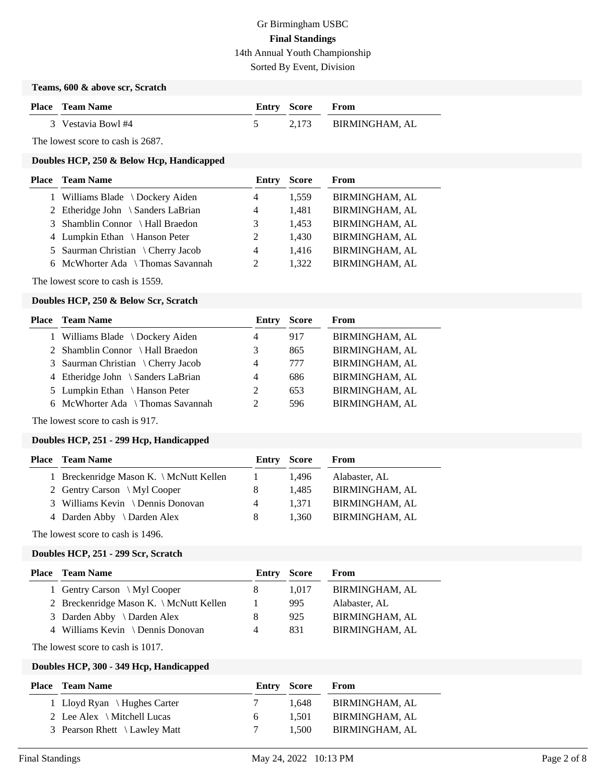Sorted By Event, Division

#### **Teams, 600 & above scr, Scratch**

| <b>Place</b> Team Name | <b>Entry Score From</b> |                      |
|------------------------|-------------------------|----------------------|
| 3 Vestavia Bowl #4     |                         | 2.173 BIRMINGHAM, AL |

The lowest score to cash is 2687.

### **Doubles HCP, 250 & Below Hcp, Handicapped**

| <b>Place – Team Name</b>           | Entry          | <b>Score</b> | From                  |
|------------------------------------|----------------|--------------|-----------------------|
| 1 Williams Blade \Dockery Aiden    | 4              | 1,559        | <b>BIRMINGHAM, AL</b> |
| 2 Etheridge John \ Sanders LaBrian | 4              | 1,481        | <b>BIRMINGHAM, AL</b> |
| 3 Shamblin Connor \ Hall Braedon   | 3              | 1,453        | <b>BIRMINGHAM, AL</b> |
| 4 Lumpkin Ethan \ Hanson Peter     | 2              | 1.430        | <b>BIRMINGHAM, AL</b> |
| 5 Saurman Christian \ Cherry Jacob | $\overline{4}$ | 1.416        | <b>BIRMINGHAM, AL</b> |
| 6 McWhorter Ada \ Thomas Savannah  | $\mathcal{L}$  | 1,322        | <b>BIRMINGHAM, AL</b> |
|                                    |                |              |                       |

The lowest score to cash is 1559.

#### **Doubles HCP, 250 & Below Scr, Scratch**

| <b>Place – Team Name</b>           | Entry          | <b>Score</b> | From                  |
|------------------------------------|----------------|--------------|-----------------------|
| 1 Williams Blade \ Dockery Aiden   | 4              | 917          | <b>BIRMINGHAM, AL</b> |
| 2 Shamblin Connor \Hall Braedon    | 3              | 865          | BIRMINGHAM, AL        |
| 3 Saurman Christian \ Cherry Jacob | 4              | 777          | <b>BIRMINGHAM, AL</b> |
| 4 Etheridge John \ Sanders LaBrian | 4              | 686          | <b>BIRMINGHAM, AL</b> |
| 5 Lumpkin Ethan \ Hanson Peter     | 2              | 653          | <b>BIRMINGHAM, AL</b> |
| 6 McWhorter Ada \ Thomas Savannah  | $\mathfrak{D}$ | 596          | <b>BIRMINGHAM, AL</b> |
|                                    |                |              |                       |

The lowest score to cash is 917.

## **Doubles HCP, 251 - 299 Hcp, Handicapped**

| <b>Place – Team Name</b>                |              | Entry Score | From                  |
|-----------------------------------------|--------------|-------------|-----------------------|
| 1 Breckenridge Mason K. \ McNutt Kellen | $\mathbf{1}$ | 1.496       | Alabaster, AL         |
| 2 Gentry Carson \ Myl Cooper            | 8            | 1.485       | <b>BIRMINGHAM, AL</b> |
| 3 Williams Kevin \ Dennis Donovan       | 4            | 1.371       | <b>BIRMINGHAM, AL</b> |
| 4 Darden Abby $\setminus$ Darden Alex   | 8            | 1.360       | <b>BIRMINGHAM, AL</b> |
|                                         |              |             |                       |

The lowest score to cash is 1496.

#### **Doubles HCP, 251 - 299 Scr, Scratch**

| <b>Place – Team Name</b>                |   | Entry Score | From                  |
|-----------------------------------------|---|-------------|-----------------------|
| 1 Gentry Carson \ Myl Cooper            |   | 1.017       | BIRMINGHAM, AL        |
| 2 Breckenridge Mason K. \ McNutt Kellen |   | 995         | Alabaster, AL         |
| 3 Darden Abby \ Darden Alex             |   | 925         | <b>BIRMINGHAM, AL</b> |
| 4 Williams Kevin \ Dennis Donovan       | 4 | 831         | <b>BIRMINGHAM, AL</b> |
|                                         |   |             |                       |

The lowest score to cash is 1017.

## **Doubles HCP, 300 - 349 Hcp, Handicapped**

| Place | Team Name                             | <b>Entry Score</b> |       | From           |
|-------|---------------------------------------|--------------------|-------|----------------|
|       | 1 Lloyd Ryan \ Hughes Carter          | $\sqrt{ }$         | 1.648 | BIRMINGHAM, AL |
|       | 2 Lee Alex $\setminus$ Mitchell Lucas | 6.                 | 1.501 | BIRMINGHAM, AL |
|       | 3 Pearson Rhett \ Lawley Matt         |                    | 1.500 | BIRMINGHAM, AL |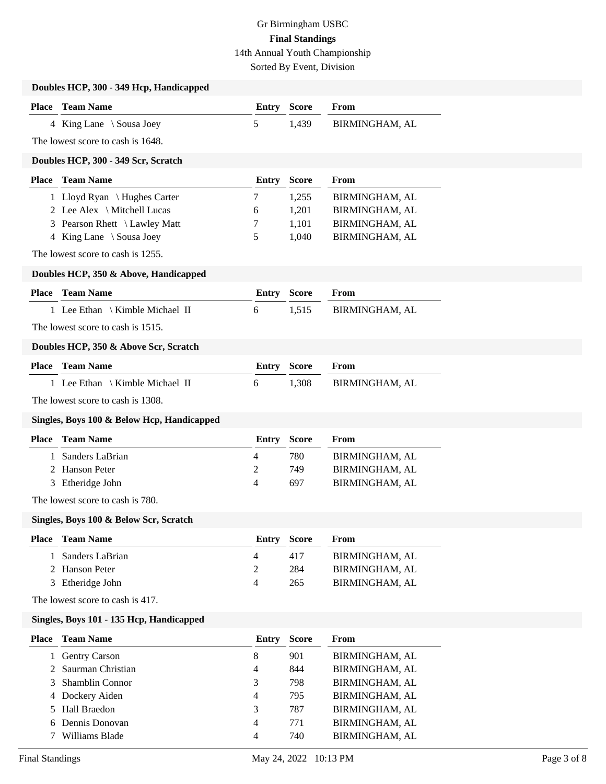Sorted By Event, Division

|                        | Doubles HCP, 300 - 349 Hcp, Handicapped    |                |              |                |             |
|------------------------|--------------------------------------------|----------------|--------------|----------------|-------------|
|                        | <b>Place</b> Team Name                     | <b>Entry</b>   | <b>Score</b> | From           |             |
|                        | 4 King Lane \ Sousa Joey                   | 5              | 1,439        | BIRMINGHAM, AL |             |
|                        | The lowest score to cash is 1648.          |                |              |                |             |
|                        | Doubles HCP, 300 - 349 Scr, Scratch        |                |              |                |             |
|                        | <b>Place</b> Team Name                     | <b>Entry</b>   | <b>Score</b> | From           |             |
|                        | 1 Lloyd Ryan \ Hughes Carter               | 7              | 1,255        | BIRMINGHAM, AL |             |
|                        | 2 Lee Alex \ Mitchell Lucas                | 6              | 1,201        | BIRMINGHAM, AL |             |
| 3                      | Pearson Rhett \ Lawley Matt                | 7              | 1,101        | BIRMINGHAM, AL |             |
| 4                      | King Lane \ Sousa Joey                     | 5              | 1,040        | BIRMINGHAM, AL |             |
|                        | The lowest score to cash is 1255.          |                |              |                |             |
|                        | Doubles HCP, 350 & Above, Handicapped      |                |              |                |             |
|                        | <b>Place</b> Team Name                     | <b>Entry</b>   | <b>Score</b> | From           |             |
|                        | 1 Lee Ethan \ Kimble Michael II            | 6              | 1,515        | BIRMINGHAM, AL |             |
|                        | The lowest score to cash is 1515.          |                |              |                |             |
|                        | Doubles HCP, 350 & Above Scr, Scratch      |                |              |                |             |
|                        | <b>Place</b> Team Name                     | <b>Entry</b>   | <b>Score</b> | From           |             |
|                        | 1 Lee Ethan \ Kimble Michael II            | 6              | 1,308        | BIRMINGHAM, AL |             |
|                        |                                            |                |              |                |             |
|                        | The lowest score to cash is 1308.          |                |              |                |             |
|                        | Singles, Boys 100 & Below Hcp, Handicapped |                |              |                |             |
|                        | <b>Place</b> Team Name                     | <b>Entry</b>   | <b>Score</b> | From           |             |
| 1                      | Sanders LaBrian                            | $\overline{4}$ | 780          | BIRMINGHAM, AL |             |
| 2                      | Hanson Peter                               | $\overline{c}$ | 749          | BIRMINGHAM, AL |             |
|                        | 3 Etheridge John                           | $\overline{4}$ | 697          | BIRMINGHAM, AL |             |
|                        | The lowest score to cash is 780.           |                |              |                |             |
|                        | Singles, Boys 100 & Below Scr, Scratch     |                |              |                |             |
| <b>Place</b>           | <b>Team Name</b>                           | <b>Entry</b>   | <b>Score</b> | From           |             |
| 1                      | Sanders LaBrian                            | 4              | 417          | BIRMINGHAM, AL |             |
| 2                      | Hanson Peter                               | $\overline{c}$ | 284          | BIRMINGHAM, AL |             |
| 3                      | Etheridge John                             | 4              | 265          | BIRMINGHAM, AL |             |
|                        | The lowest score to cash is 417.           |                |              |                |             |
|                        | Singles, Boys 101 - 135 Hcp, Handicapped   |                |              |                |             |
|                        | <b>Place</b> Team Name                     | Entry          | <b>Score</b> | From           |             |
| 1                      | <b>Gentry Carson</b>                       | 8              | 901          | BIRMINGHAM, AL |             |
| 2                      | Saurman Christian                          | 4              | 844          | BIRMINGHAM, AL |             |
| 3                      | Shamblin Connor                            | 3              | 798          | BIRMINGHAM, AL |             |
| 4                      | Dockery Aiden                              | 4              | 795          | BIRMINGHAM, AL |             |
| 5                      | Hall Braedon                               | 3              | 787          | BIRMINGHAM, AL |             |
| 6                      | Dennis Donovan                             | 4              | 771          | BIRMINGHAM, AL |             |
| 7                      | Williams Blade                             | 4              | 740          | BIRMINGHAM, AL |             |
| <b>Final Standings</b> |                                            | May 24, 2022   |              | 10:13 PM       | Page 3 of 8 |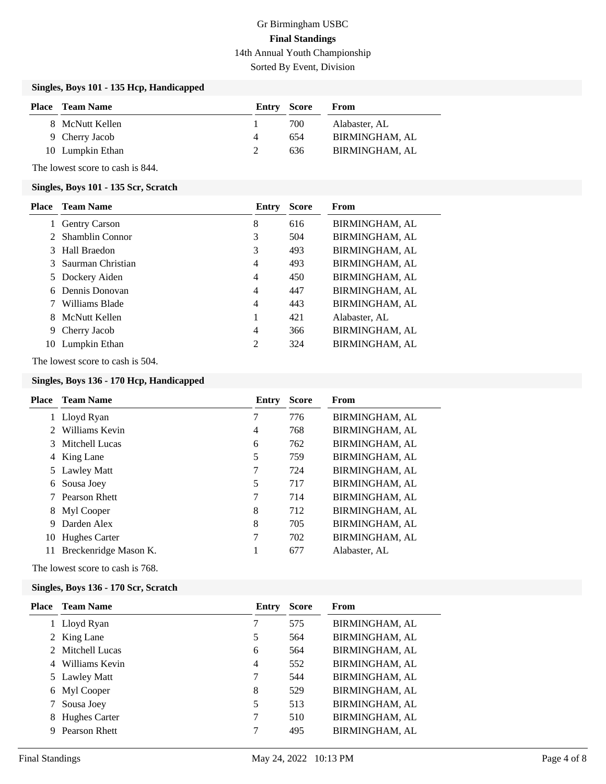Sorted By Event, Division

## **Singles, Boys 101 - 135 Hcp, Handicapped**

| <b>Place</b> Team Name | Entry Score |     | From           |
|------------------------|-------------|-----|----------------|
| 8 McNutt Kellen        |             | 700 | Alabaster, AL  |
| 9 Cherry Jacob         | 4           | 654 | BIRMINGHAM, AL |
| 10 Lumpkin Ethan       |             | 636 | BIRMINGHAM, AL |

The lowest score to cash is 844.

#### **Singles, Boys 101 - 135 Scr, Scratch**

| <b>Place</b> | Team Name            | Entry          | <b>Score</b> | From                  |
|--------------|----------------------|----------------|--------------|-----------------------|
|              | <b>Gentry Carson</b> | 8              | 616          | BIRMINGHAM, AL        |
|              | 2 Shamblin Connor    | 3              | 504          | <b>BIRMINGHAM, AL</b> |
|              | 3 Hall Braedon       | 3              | 493          | <b>BIRMINGHAM, AL</b> |
|              | 3 Saurman Christian  | $\overline{4}$ | 493          | BIRMINGHAM, AL        |
|              | 5 Dockery Aiden      | $\overline{4}$ | 450          | <b>BIRMINGHAM, AL</b> |
| 6            | Dennis Donovan       | $\overline{4}$ | 447          | <b>BIRMINGHAM, AL</b> |
|              | Williams Blade       | $\overline{4}$ | 443          | <b>BIRMINGHAM, AL</b> |
| 8.           | McNutt Kellen        |                | 421          | Alabaster, AL         |
| 9            | Cherry Jacob         | $\overline{4}$ | 366          | <b>BIRMINGHAM, AL</b> |
| 10           | Lumpkin Ethan        | 2              | 324          | <b>BIRMINGHAM, AL</b> |

The lowest score to cash is 504.

### **Singles, Boys 136 - 170 Hcp, Handicapped**

| Place       | <b>Team Name</b>      | Entry | <b>Score</b> | From                  |
|-------------|-----------------------|-------|--------------|-----------------------|
|             | 1 Lloyd Ryan          | 7     | 776          | <b>BIRMINGHAM, AL</b> |
| $2^{\circ}$ | Williams Kevin        | 4     | 768          | <b>BIRMINGHAM, AL</b> |
|             | 3 Mitchell Lucas      | 6     | 762          | <b>BIRMINGHAM, AL</b> |
|             | 4 King Lane           | 5     | 759          | <b>BIRMINGHAM, AL</b> |
|             | 5 Lawley Matt         | 7     | 724          | <b>BIRMINGHAM, AL</b> |
| 6           | Sousa Joey            | 5     | 717          | <b>BIRMINGHAM, AL</b> |
|             | 7 Pearson Rhett       | 7     | 714          | <b>BIRMINGHAM, AL</b> |
|             | 8 Myl Cooper          | 8     | 712          | <b>BIRMINGHAM, AL</b> |
| 9           | Darden Alex           | 8     | 705          | <b>BIRMINGHAM, AL</b> |
| 10          | Hughes Carter         | 7     | 702          | <b>BIRMINGHAM, AL</b> |
| 11          | Breckenridge Mason K. | 1     | 677          | Alabaster, AL         |

The lowest score to cash is 768.

#### **Singles, Boys 136 - 170 Scr, Scratch**

| Place | <b>Team Name</b>     | Entry          | <b>Score</b> | From                  |
|-------|----------------------|----------------|--------------|-----------------------|
|       | 1 Lloyd Ryan         | 7              | 575          | BIRMINGHAM, AL        |
|       | 2 King Lane          | 5              | 564          | <b>BIRMINGHAM, AL</b> |
|       | 2 Mitchell Lucas     | 6              | 564          | <b>BIRMINGHAM, AL</b> |
| 4     | Williams Kevin       | $\overline{4}$ | 552          | <b>BIRMINGHAM, AL</b> |
|       | 5 Lawley Matt        |                | 544          | <b>BIRMINGHAM, AL</b> |
|       | 6 Myl Cooper         | 8              | 529          | <b>BIRMINGHAM, AL</b> |
|       | Sousa Joey           | 5              | 513          | <b>BIRMINGHAM, AL</b> |
| 8     | <b>Hughes Carter</b> | 7              | 510          | <b>BIRMINGHAM, AL</b> |
| 9     | Pearson Rhett        | 7              | 495          | <b>BIRMINGHAM, AL</b> |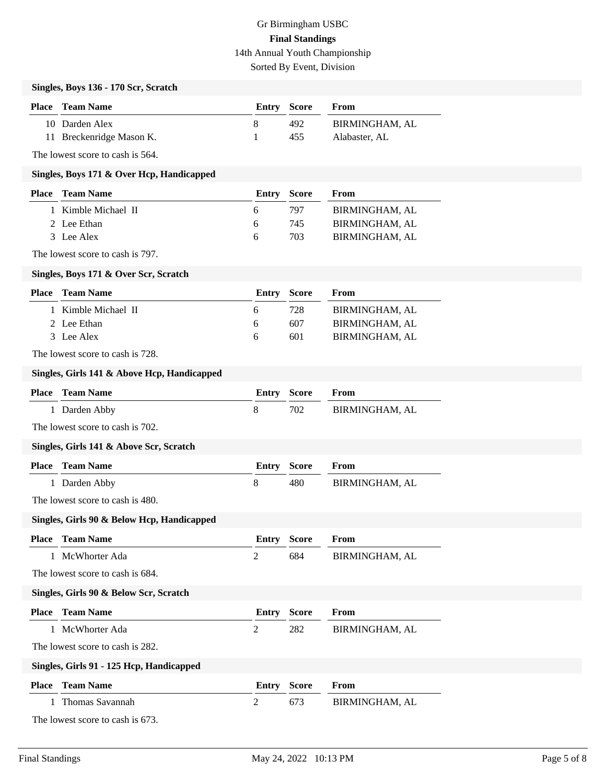Sorted By Event, Division

# **Singles, Boys 136 - 170 Scr, Scratch**

| <b>Place</b> Team Name   | <b>Entry Score</b> |      | From           |
|--------------------------|--------------------|------|----------------|
| 10 Darden Alex           |                    | 492. | BIRMINGHAM. AL |
| 11 Breckenridge Mason K. |                    | 455  | Alabaster, AL  |

The lowest score to cash is 564.

#### **Singles, Boys 171 & Over Hcp, Handicapped**

| <b>Place</b> Team Name |                     | Entry Score  |     | From                  |
|------------------------|---------------------|--------------|-----|-----------------------|
|                        | 1 Kimble Michael II | <sub>6</sub> | 797 | BIRMINGHAM, AL        |
| 2 Lee Ethan            |                     | <sub>6</sub> | 745 | BIRMINGHAM, AL        |
| 3 Lee Alex             |                     | h            | 703 | <b>BIRMINGHAM, AL</b> |

The lowest score to cash is 797.

#### **Singles, Boys 171 & Over Scr, Scratch**

| <b>Place</b> Team Name | <b>Entry Score</b> |     | From           |
|------------------------|--------------------|-----|----------------|
| 1 Kimble Michael II    | <sub>6</sub>       | 728 | BIRMINGHAM, AL |
| 2 Lee Ethan            | 6                  | 607 | BIRMINGHAM, AL |
| 3 Lee Alex             | <sub>6</sub>       | 601 | BIRMINGHAM, AL |

The lowest score to cash is 728.

#### **Singles, Girls 141 & Above Hcp, Handicapped**

| <b>Place</b> | <b>Team Name</b>                           | Entry          | <b>Score</b> | From                  |
|--------------|--------------------------------------------|----------------|--------------|-----------------------|
| $\mathbf{1}$ | Darden Abby                                | 8              | 702          | BIRMINGHAM, AL        |
|              | The lowest score to cash is 702.           |                |              |                       |
|              | Singles, Girls 141 & Above Scr, Scratch    |                |              |                       |
|              | <b>Place</b> Team Name                     | <b>Entry</b>   | <b>Score</b> | From                  |
|              | 1 Darden Abby                              | 8              | 480          | BIRMINGHAM, AL        |
|              | The lowest score to cash is 480.           |                |              |                       |
|              | Singles, Girls 90 & Below Hcp, Handicapped |                |              |                       |
| <b>Place</b> | <b>Team Name</b>                           | <b>Entry</b>   | <b>Score</b> | From                  |
| $\mathbf{1}$ | McWhorter Ada                              | 2              | 684          | BIRMINGHAM, AL        |
|              | The lowest score to cash is 684.           |                |              |                       |
|              | Singles, Girls 90 & Below Scr, Scratch     |                |              |                       |
| <b>Place</b> | <b>Team Name</b>                           | <b>Entry</b>   | <b>Score</b> | From                  |
|              | McWhorter Ada                              | 2              | 282          | <b>BIRMINGHAM, AL</b> |
|              | The lowest score to cash is 282.           |                |              |                       |
|              | Singles, Girls 91 - 125 Hcp, Handicapped   |                |              |                       |
| <b>Place</b> | <b>Team Name</b>                           | Entry          | <b>Score</b> | From                  |
|              | Thomas Savannah                            | $\overline{2}$ | 673          | BIRMINGHAM, AL        |
|              | The lowest score to cash is 673.           |                |              |                       |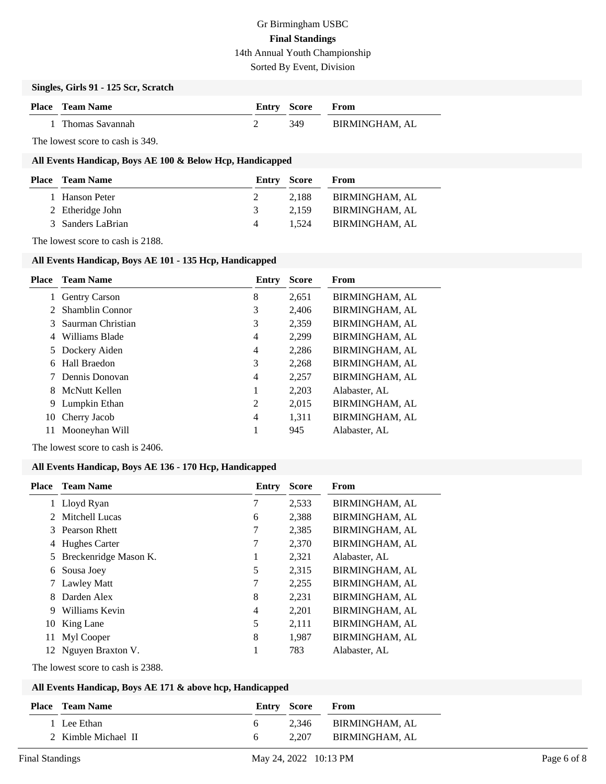Sorted By Event, Division

#### **Singles, Girls 91 - 125 Scr, Scratch**

| <b>Place</b> Team Name | <b>Entry Score From</b> |                |
|------------------------|-------------------------|----------------|
| 1 Thomas Savannah      | -349                    | BIRMINGHAM, AL |

The lowest score to cash is 349.

# **All Events Handicap, Boys AE 100 & Below Hcp, Handicapped**

| <b>Place</b> Team Name |        | From                                 |
|------------------------|--------|--------------------------------------|
| 1 Hanson Peter         |        | BIRMINGHAM, AL                       |
| 2 Etheridge John       |        | BIRMINGHAM, AL                       |
| 3 Sanders LaBrian      | 1.524  | BIRMINGHAM, AL                       |
|                        | 3<br>Δ | <b>Entry Score</b><br>2.188<br>2.159 |

The lowest score to cash is 2188.

# **All Events Handicap, Boys AE 101 - 135 Hcp, Handicapped**

| Place       | <b>Team Name</b>     | Entry | <b>Score</b> | From                  |
|-------------|----------------------|-------|--------------|-----------------------|
| 1           | <b>Gentry Carson</b> | 8     | 2,651        | <b>BIRMINGHAM, AL</b> |
| $2^{\circ}$ | Shamblin Connor      | 3     | 2,406        | <b>BIRMINGHAM, AL</b> |
|             | 3 Saurman Christian  | 3     | 2,359        | <b>BIRMINGHAM, AL</b> |
| 4           | Williams Blade       | 4     | 2,299        | <b>BIRMINGHAM, AL</b> |
|             | 5 Dockery Aiden      | 4     | 2,286        | <b>BIRMINGHAM, AL</b> |
| 6           | Hall Braedon         | 3     | 2,268        | <b>BIRMINGHAM, AL</b> |
|             | Dennis Donovan       | 4     | 2,257        | <b>BIRMINGHAM, AL</b> |
| 8.          | McNutt Kellen        |       | 2,203        | Alabaster, AL         |
| 9           | Lumpkin Ethan        | 2     | 2,015        | BIRMINGHAM, AL        |
| 10          | Cherry Jacob         | 4     | 1,311        | <b>BIRMINGHAM, AL</b> |
| 11          | Mooneyhan Will       |       | 945          | Alabaster, AL         |
|             |                      |       |              |                       |

The lowest score to cash is 2406.

# **All Events Handicap, Boys AE 136 - 170 Hcp, Handicapped**

| Place       | <b>Team Name</b>      | Entry | <b>Score</b> | From                  |
|-------------|-----------------------|-------|--------------|-----------------------|
|             | 1 Lloyd Ryan          | 7     | 2,533        | BIRMINGHAM, AL        |
| $2^{\circ}$ | Mitchell Lucas        | 6     | 2,388        | <b>BIRMINGHAM, AL</b> |
|             | 3 Pearson Rhett       | 7     | 2,385        | <b>BIRMINGHAM, AL</b> |
| 4           | Hughes Carter         | 7     | 2,370        | <b>BIRMINGHAM, AL</b> |
| 5.          | Breckenridge Mason K. | 1     | 2,321        | Alabaster, AL         |
| 6           | Sousa Joey            | 5     | 2,315        | <b>BIRMINGHAM, AL</b> |
|             | <b>Lawley Matt</b>    | 7     | 2,255        | BIRMINGHAM, AL        |
| 8           | Darden Alex           | 8     | 2,231        | <b>BIRMINGHAM, AL</b> |
| 9           | Williams Kevin        | 4     | 2,201        | <b>BIRMINGHAM, AL</b> |
| 10          | King Lane             | 5     | 2,111        | <b>BIRMINGHAM, AL</b> |
| 11          | Myl Cooper            | 8     | 1,987        | <b>BIRMINGHAM, AL</b> |
|             | 12 Nguyen Braxton V.  | 1     | 783          | Alabaster, AL         |
|             |                       |       |              |                       |

The lowest score to cash is 2388.

# **All Events Handicap, Boys AE 171 & above hcp, Handicapped**

| <b>Place</b> Team Name | <b>Entry Score</b> | From                 |
|------------------------|--------------------|----------------------|
| 1 Lee Ethan            |                    | 2,346 BIRMINGHAM, AL |
| 2 Kimble Michael II    | 2.207              | BIRMINGHAM. AL       |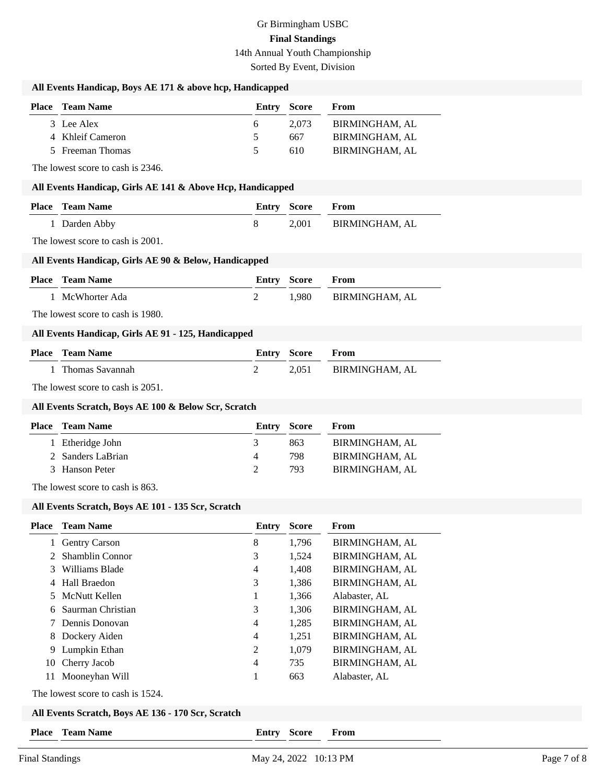Sorted By Event, Division

### **All Events Handicap, Boys AE 171 & above hcp, Handicapped**

| <b>Place</b> Team Name | <b>Entry Score</b> |       | From           |
|------------------------|--------------------|-------|----------------|
| 3 Lee Alex             |                    | 2.073 | BIRMINGHAM. AL |
| 4 Khleif Cameron       | 5                  | 667   | BIRMINGHAM, AL |
| 5 Freeman Thomas       | 5                  | 610   | BIRMINGHAM, AL |

The lowest score to cash is 2346.

#### **All Events Handicap, Girls AE 141 & Above Hcp, Handicapped**

| <b>Place – Team Name</b> | <b>Entry Score From</b> |                      |
|--------------------------|-------------------------|----------------------|
| 1 Darden Abby            |                         | 2.001 BIRMINGHAM, AL |

The lowest score to cash is 2001.

#### **All Events Handicap, Girls AE 90 & Below, Handicapped**

| <b>Place</b> Team Name | <b>Entry Score From</b> |                      |
|------------------------|-------------------------|----------------------|
| 1 McWhorter Ada        |                         | 1.980 BIRMINGHAM, AL |

The lowest score to cash is 1980.

#### **All Events Handicap, Girls AE 91 - 125, Handicapped**

| <b>Place</b> Team Name | <b>Entry Score From</b> |                      |
|------------------------|-------------------------|----------------------|
| 1 Thomas Savannah      |                         | 2.051 BIRMINGHAM, AL |

The lowest score to cash is 2051.

#### **All Events Scratch, Boys AE 100 & Below Scr, Scratch**

| <b>Place</b> Team Name | Entry Score |     | From           |
|------------------------|-------------|-----|----------------|
| 1 Etheridge John       |             | 863 | BIRMINGHAM, AL |
| 2 Sanders LaBrian      | $\Delta$    | 798 | BIRMINGHAM, AL |
| 3 Hanson Peter         |             | 793 | BIRMINGHAM, AL |

The lowest score to cash is 863.

## **All Events Scratch, Boys AE 101 - 135 Scr, Scratch**

| Place | <b>Team Name</b>       | Entry | <b>Score</b> | From                  |
|-------|------------------------|-------|--------------|-----------------------|
| 1     | <b>Gentry Carson</b>   | 8     | 1,796        | <b>BIRMINGHAM, AL</b> |
| 2     | <b>Shamblin Connor</b> | 3     | 1,524        | <b>BIRMINGHAM, AL</b> |
| 3     | Williams Blade         | 4     | 1,408        | <b>BIRMINGHAM, AL</b> |
|       | 4 Hall Braedon         | 3     | 1,386        | <b>BIRMINGHAM, AL</b> |
|       | 5 McNutt Kellen        | 1     | 1,366        | Alabaster, AL         |
| 6     | Saurman Christian      | 3     | 1,306        | BIRMINGHAM, AL        |
|       | 7 Dennis Donovan       | 4     | 1,285        | <b>BIRMINGHAM, AL</b> |
|       | 8 Dockery Aiden        | 4     | 1,251        | <b>BIRMINGHAM, AL</b> |
| 9.    | Lumpkin Ethan          | 2     | 1,079        | BIRMINGHAM, AL        |
| 10    | Cherry Jacob           | 4     | 735          | <b>BIRMINGHAM, AL</b> |
| 11    | Mooneyhan Will         |       | 663          | Alabaster, AL         |
|       |                        |       |              |                       |

The lowest score to cash is 1524.

| All Events Scratch, Boys AE 136 - 170 Scr, Scratch |  |
|----------------------------------------------------|--|
|----------------------------------------------------|--|

**Place Team Name Entry Score From**